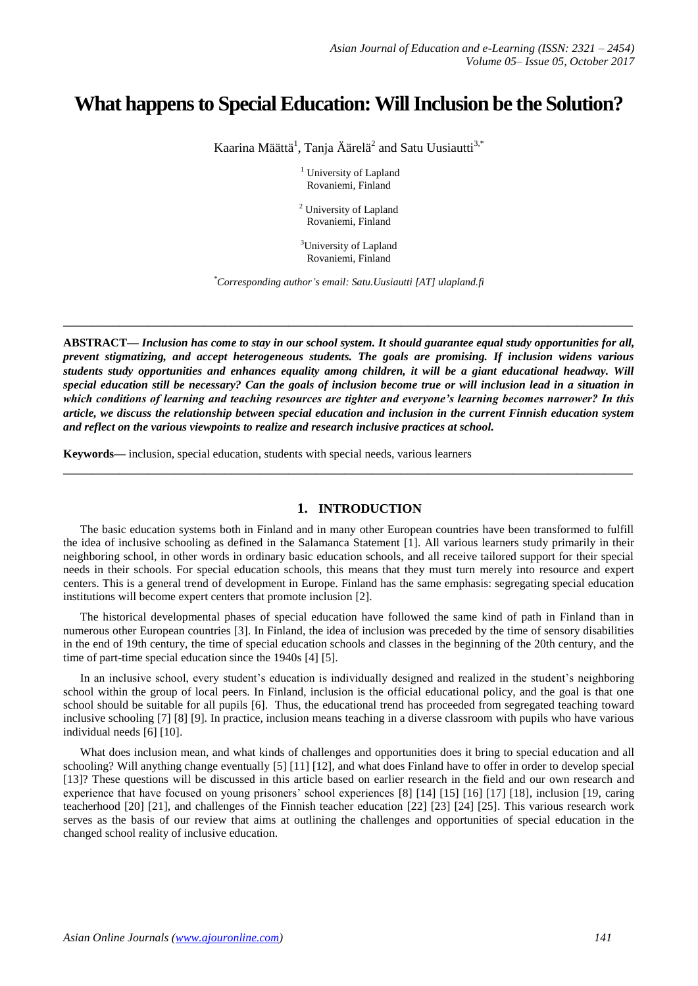# **What happens to Special Education: Will Inclusion be the Solution?**

Kaarina Määttä<sup>1</sup>, Tanja Äärelä<sup>2</sup> and Satu Uusiautti<sup>3,\*</sup>

<sup>1</sup> University of Lapland Rovaniemi, Finland

<sup>2</sup> University of Lapland Rovaniemi, Finland

<sup>3</sup>University of Lapland Rovaniemi, Finland

*\*Corresponding author's email: Satu.Uusiautti [AT] ulapland.fi*

**\_\_\_\_\_\_\_\_\_\_\_\_\_\_\_\_\_\_\_\_\_\_\_\_\_\_\_\_\_\_\_\_\_\_\_\_\_\_\_\_\_\_\_\_\_\_\_\_\_\_\_\_\_\_\_\_\_\_\_\_\_\_\_\_\_\_\_\_\_\_\_\_\_\_\_\_\_\_\_\_\_**

**ABSTRACT—** *Inclusion has come to stay in our school system. It should guarantee equal study opportunities for all, prevent stigmatizing, and accept heterogeneous students. The goals are promising. If inclusion widens various students study opportunities and enhances equality among children, it will be a giant educational headway. Will special education still be necessary? Can the goals of inclusion become true or will inclusion lead in a situation in which conditions of learning and teaching resources are tighter and everyone's learning becomes narrower? In this article, we discuss the relationship between special education and inclusion in the current Finnish education system and reflect on the various viewpoints to realize and research inclusive practices at school.*

**\_\_\_\_\_\_\_\_\_\_\_\_\_\_\_\_\_\_\_\_\_\_\_\_\_\_\_\_\_\_\_\_\_\_\_\_\_\_\_\_\_\_\_\_\_\_\_\_\_\_\_\_\_\_\_\_\_\_\_\_\_\_\_\_\_\_\_\_\_\_\_\_\_\_\_\_\_\_\_\_\_**

**Keywords—** inclusion, special education, students with special needs, various learners

#### **1. INTRODUCTION**

The basic education systems both in Finland and in many other European countries have been transformed to fulfill the idea of inclusive schooling as defined in the Salamanca Statement [1]. All various learners study primarily in their neighboring school, in other words in ordinary basic education schools, and all receive tailored support for their special needs in their schools. For special education schools, this means that they must turn merely into resource and expert centers. This is a general trend of development in Europe. Finland has the same emphasis: segregating special education institutions will become expert centers that promote inclusion [2].

The historical developmental phases of special education have followed the same kind of path in Finland than in numerous other European countries [3]. In Finland, the idea of inclusion was preceded by the time of sensory disabilities in the end of 19th century, the time of special education schools and classes in the beginning of the 20th century, and the time of part-time special education since the 1940s [4] [5].

In an inclusive school, every student's education is individually designed and realized in the student's neighboring school within the group of local peers. In Finland, inclusion is the official educational policy, and the goal is that one school should be suitable for all pupils [6]. Thus, the educational trend has proceeded from segregated teaching toward inclusive schooling [7] [8] [9]. In practice, inclusion means teaching in a diverse classroom with pupils who have various individual needs [6] [10].

What does inclusion mean, and what kinds of challenges and opportunities does it bring to special education and all schooling? Will anything change eventually [5] [11] [12], and what does Finland have to offer in order to develop special [13]? These questions will be discussed in this article based on earlier research in the field and our own research and experience that have focused on young prisoners' school experiences [8] [14] [15] [16] [17] [18], inclusion [19, caring teacherhood [20] [21], and challenges of the Finnish teacher education [22] [23] [24] [25]. This various research work serves as the basis of our review that aims at outlining the challenges and opportunities of special education in the changed school reality of inclusive education.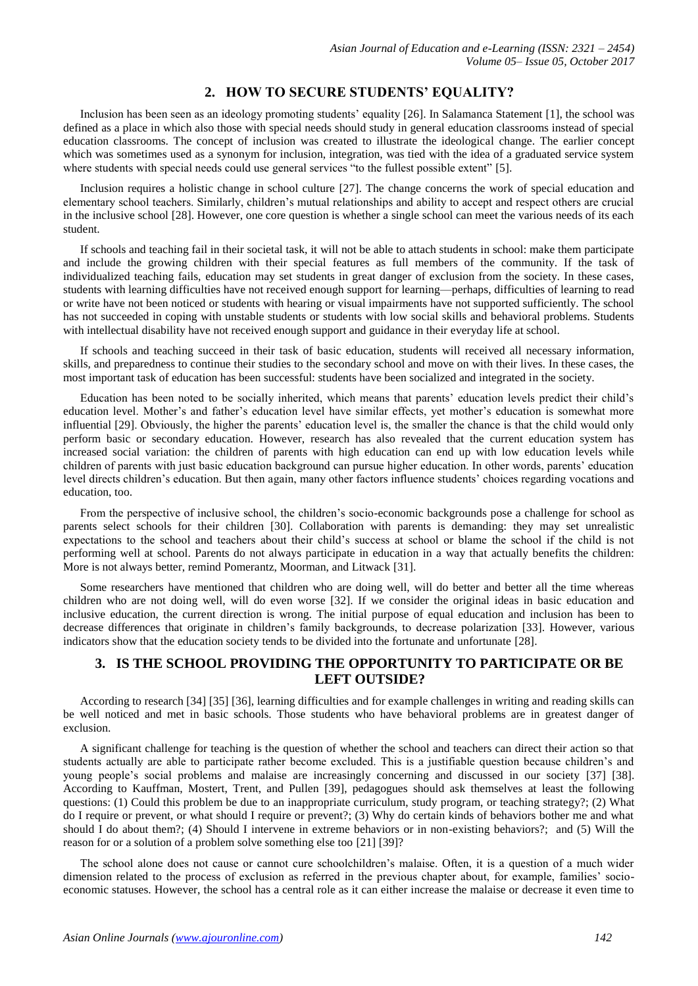## **2. HOW TO SECURE STUDENTS' EQUALITY?**

Inclusion has been seen as an ideology promoting students' equality [26]. In Salamanca Statement [1], the school was defined as a place in which also those with special needs should study in general education classrooms instead of special education classrooms. The concept of inclusion was created to illustrate the ideological change. The earlier concept which was sometimes used as a synonym for inclusion, integration, was tied with the idea of a graduated service system where students with special needs could use general services "to the fullest possible extent" [5].

Inclusion requires a holistic change in school culture [27]. The change concerns the work of special education and elementary school teachers. Similarly, children's mutual relationships and ability to accept and respect others are crucial in the inclusive school [28]. However, one core question is whether a single school can meet the various needs of its each student.

If schools and teaching fail in their societal task, it will not be able to attach students in school: make them participate and include the growing children with their special features as full members of the community. If the task of individualized teaching fails, education may set students in great danger of exclusion from the society. In these cases, students with learning difficulties have not received enough support for learning—perhaps, difficulties of learning to read or write have not been noticed or students with hearing or visual impairments have not supported sufficiently. The school has not succeeded in coping with unstable students or students with low social skills and behavioral problems. Students with intellectual disability have not received enough support and guidance in their everyday life at school.

If schools and teaching succeed in their task of basic education, students will received all necessary information, skills, and preparedness to continue their studies to the secondary school and move on with their lives. In these cases, the most important task of education has been successful: students have been socialized and integrated in the society.

Education has been noted to be socially inherited, which means that parents' education levels predict their child's education level. Mother's and father's education level have similar effects, yet mother's education is somewhat more influential [29]. Obviously, the higher the parents' education level is, the smaller the chance is that the child would only perform basic or secondary education. However, research has also revealed that the current education system has increased social variation: the children of parents with high education can end up with low education levels while children of parents with just basic education background can pursue higher education. In other words, parents' education level directs children's education. But then again, many other factors influence students' choices regarding vocations and education, too.

From the perspective of inclusive school, the children's socio-economic backgrounds pose a challenge for school as parents select schools for their children [30]. Collaboration with parents is demanding: they may set unrealistic expectations to the school and teachers about their child's success at school or blame the school if the child is not performing well at school. Parents do not always participate in education in a way that actually benefits the children: More is not always better, remind Pomerantz, Moorman, and Litwack [31].

Some researchers have mentioned that children who are doing well, will do better and better all the time whereas children who are not doing well, will do even worse [32]. If we consider the original ideas in basic education and inclusive education, the current direction is wrong. The initial purpose of equal education and inclusion has been to decrease differences that originate in children's family backgrounds, to decrease polarization [33]. However, various indicators show that the education society tends to be divided into the fortunate and unfortunate [28].

### **3. IS THE SCHOOL PROVIDING THE OPPORTUNITY TO PARTICIPATE OR BE LEFT OUTSIDE?**

According to research [34] [35] [36], learning difficulties and for example challenges in writing and reading skills can be well noticed and met in basic schools. Those students who have behavioral problems are in greatest danger of exclusion.

A significant challenge for teaching is the question of whether the school and teachers can direct their action so that students actually are able to participate rather become excluded. This is a justifiable question because children's and young people's social problems and malaise are increasingly concerning and discussed in our society [37] [38]. According to Kauffman, Mostert, Trent, and Pullen [39], pedagogues should ask themselves at least the following questions: (1) Could this problem be due to an inappropriate curriculum, study program, or teaching strategy?; (2) What do I require or prevent, or what should I require or prevent?; (3) Why do certain kinds of behaviors bother me and what should I do about them?; (4) Should I intervene in extreme behaviors or in non-existing behaviors?; and (5) Will the reason for or a solution of a problem solve something else too [21] [39]?

The school alone does not cause or cannot cure schoolchildren's malaise. Often, it is a question of a much wider dimension related to the process of exclusion as referred in the previous chapter about, for example, families' socioeconomic statuses. However, the school has a central role as it can either increase the malaise or decrease it even time to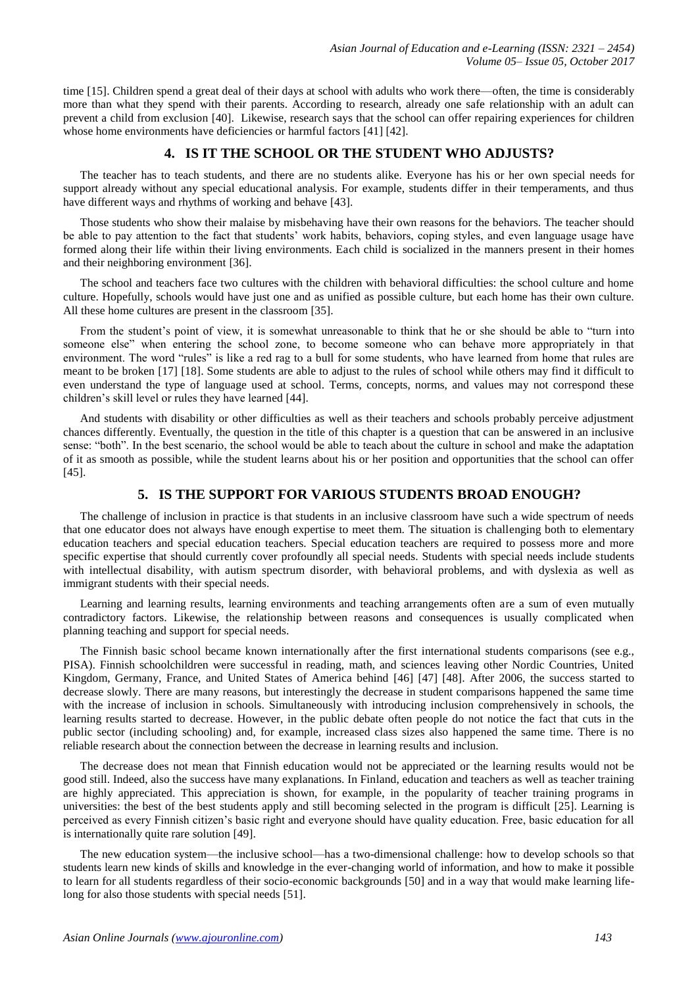time [15]. Children spend a great deal of their days at school with adults who work there—often, the time is considerably more than what they spend with their parents. According to research, already one safe relationship with an adult can prevent a child from exclusion [40]. Likewise, research says that the school can offer repairing experiences for children whose home environments have deficiencies or harmful factors [41] [42].

#### **4. IS IT THE SCHOOL OR THE STUDENT WHO ADJUSTS?**

The teacher has to teach students, and there are no students alike. Everyone has his or her own special needs for support already without any special educational analysis. For example, students differ in their temperaments, and thus have different ways and rhythms of working and behave [43].

Those students who show their malaise by misbehaving have their own reasons for the behaviors. The teacher should be able to pay attention to the fact that students' work habits, behaviors, coping styles, and even language usage have formed along their life within their living environments. Each child is socialized in the manners present in their homes and their neighboring environment [36].

The school and teachers face two cultures with the children with behavioral difficulties: the school culture and home culture. Hopefully, schools would have just one and as unified as possible culture, but each home has their own culture. All these home cultures are present in the classroom [35].

From the student's point of view, it is somewhat unreasonable to think that he or she should be able to "turn into someone else" when entering the school zone, to become someone who can behave more appropriately in that environment. The word "rules" is like a red rag to a bull for some students, who have learned from home that rules are meant to be broken [17] [18]. Some students are able to adjust to the rules of school while others may find it difficult to even understand the type of language used at school. Terms, concepts, norms, and values may not correspond these children's skill level or rules they have learned [44].

And students with disability or other difficulties as well as their teachers and schools probably perceive adjustment chances differently. Eventually, the question in the title of this chapter is a question that can be answered in an inclusive sense: "both". In the best scenario, the school would be able to teach about the culture in school and make the adaptation of it as smooth as possible, while the student learns about his or her position and opportunities that the school can offer [45].

## **5. IS THE SUPPORT FOR VARIOUS STUDENTS BROAD ENOUGH?**

The challenge of inclusion in practice is that students in an inclusive classroom have such a wide spectrum of needs that one educator does not always have enough expertise to meet them. The situation is challenging both to elementary education teachers and special education teachers. Special education teachers are required to possess more and more specific expertise that should currently cover profoundly all special needs. Students with special needs include students with intellectual disability, with autism spectrum disorder, with behavioral problems, and with dyslexia as well as immigrant students with their special needs.

Learning and learning results, learning environments and teaching arrangements often are a sum of even mutually contradictory factors. Likewise, the relationship between reasons and consequences is usually complicated when planning teaching and support for special needs.

The Finnish basic school became known internationally after the first international students comparisons (see e.g., PISA). Finnish schoolchildren were successful in reading, math, and sciences leaving other Nordic Countries, United Kingdom, Germany, France, and United States of America behind [46] [47] [48]. After 2006, the success started to decrease slowly. There are many reasons, but interestingly the decrease in student comparisons happened the same time with the increase of inclusion in schools. Simultaneously with introducing inclusion comprehensively in schools, the learning results started to decrease. However, in the public debate often people do not notice the fact that cuts in the public sector (including schooling) and, for example, increased class sizes also happened the same time. There is no reliable research about the connection between the decrease in learning results and inclusion.

The decrease does not mean that Finnish education would not be appreciated or the learning results would not be good still. Indeed, also the success have many explanations. In Finland, education and teachers as well as teacher training are highly appreciated. This appreciation is shown, for example, in the popularity of teacher training programs in universities: the best of the best students apply and still becoming selected in the program is difficult [25]. Learning is perceived as every Finnish citizen's basic right and everyone should have quality education. Free, basic education for all is internationally quite rare solution [49].

The new education system—the inclusive school—has a two-dimensional challenge: how to develop schools so that students learn new kinds of skills and knowledge in the ever-changing world of information, and how to make it possible to learn for all students regardless of their socio-economic backgrounds [50] and in a way that would make learning lifelong for also those students with special needs [51].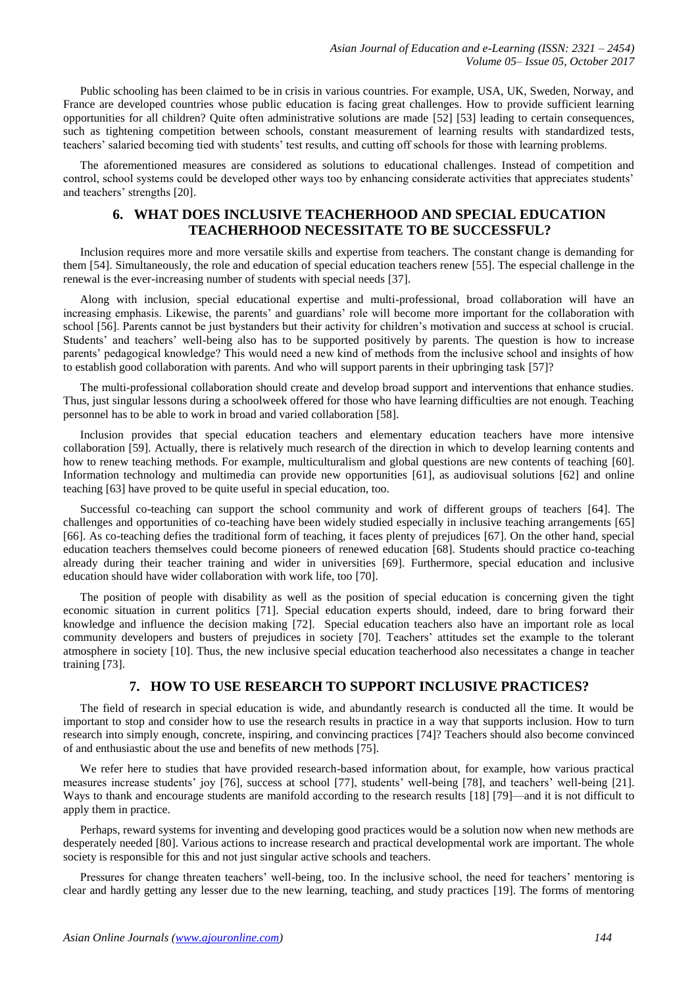Public schooling has been claimed to be in crisis in various countries. For example, USA, UK, Sweden, Norway, and France are developed countries whose public education is facing great challenges. How to provide sufficient learning opportunities for all children? Quite often administrative solutions are made [52] [53] leading to certain consequences, such as tightening competition between schools, constant measurement of learning results with standardized tests, teachers' salaried becoming tied with students' test results, and cutting off schools for those with learning problems.

The aforementioned measures are considered as solutions to educational challenges. Instead of competition and control, school systems could be developed other ways too by enhancing considerate activities that appreciates students' and teachers' strengths [20].

## **6. WHAT DOES INCLUSIVE TEACHERHOOD AND SPECIAL EDUCATION TEACHERHOOD NECESSITATE TO BE SUCCESSFUL?**

Inclusion requires more and more versatile skills and expertise from teachers. The constant change is demanding for them [54]. Simultaneously, the role and education of special education teachers renew [55]. The especial challenge in the renewal is the ever-increasing number of students with special needs [37].

Along with inclusion, special educational expertise and multi-professional, broad collaboration will have an increasing emphasis. Likewise, the parents' and guardians' role will become more important for the collaboration with school [56]. Parents cannot be just bystanders but their activity for children's motivation and success at school is crucial. Students' and teachers' well-being also has to be supported positively by parents. The question is how to increase parents' pedagogical knowledge? This would need a new kind of methods from the inclusive school and insights of how to establish good collaboration with parents. And who will support parents in their upbringing task [57]?

The multi-professional collaboration should create and develop broad support and interventions that enhance studies. Thus, just singular lessons during a schoolweek offered for those who have learning difficulties are not enough. Teaching personnel has to be able to work in broad and varied collaboration [58].

Inclusion provides that special education teachers and elementary education teachers have more intensive collaboration [59]. Actually, there is relatively much research of the direction in which to develop learning contents and how to renew teaching methods. For example, multiculturalism and global questions are new contents of teaching [60]. Information technology and multimedia can provide new opportunities [61], as audiovisual solutions [62] and online teaching [63] have proved to be quite useful in special education, too.

Successful co-teaching can support the school community and work of different groups of teachers [64]. The challenges and opportunities of co-teaching have been widely studied especially in inclusive teaching arrangements [65] [66]. As co-teaching defies the traditional form of teaching, it faces plenty of prejudices [67]. On the other hand, special education teachers themselves could become pioneers of renewed education [68]. Students should practice co-teaching already during their teacher training and wider in universities [69]. Furthermore, special education and inclusive education should have wider collaboration with work life, too [70].

The position of people with disability as well as the position of special education is concerning given the tight economic situation in current politics [71]. Special education experts should, indeed, dare to bring forward their knowledge and influence the decision making [72]. Special education teachers also have an important role as local community developers and busters of prejudices in society [70]. Teachers' attitudes set the example to the tolerant atmosphere in society [10]. Thus, the new inclusive special education teacherhood also necessitates a change in teacher training [73].

#### **7. HOW TO USE RESEARCH TO SUPPORT INCLUSIVE PRACTICES?**

The field of research in special education is wide, and abundantly research is conducted all the time. It would be important to stop and consider how to use the research results in practice in a way that supports inclusion. How to turn research into simply enough, concrete, inspiring, and convincing practices [74]? Teachers should also become convinced of and enthusiastic about the use and benefits of new methods [75].

We refer here to studies that have provided research-based information about, for example, how various practical measures increase students' joy [76], success at school [77], students' well-being [78], and teachers' well-being [21]. Ways to thank and encourage students are manifold according to the research results [18] [79]—and it is not difficult to apply them in practice.

Perhaps, reward systems for inventing and developing good practices would be a solution now when new methods are desperately needed [80]. Various actions to increase research and practical developmental work are important. The whole society is responsible for this and not just singular active schools and teachers.

Pressures for change threaten teachers' well-being, too. In the inclusive school, the need for teachers' mentoring is clear and hardly getting any lesser due to the new learning, teaching, and study practices [19]. The forms of mentoring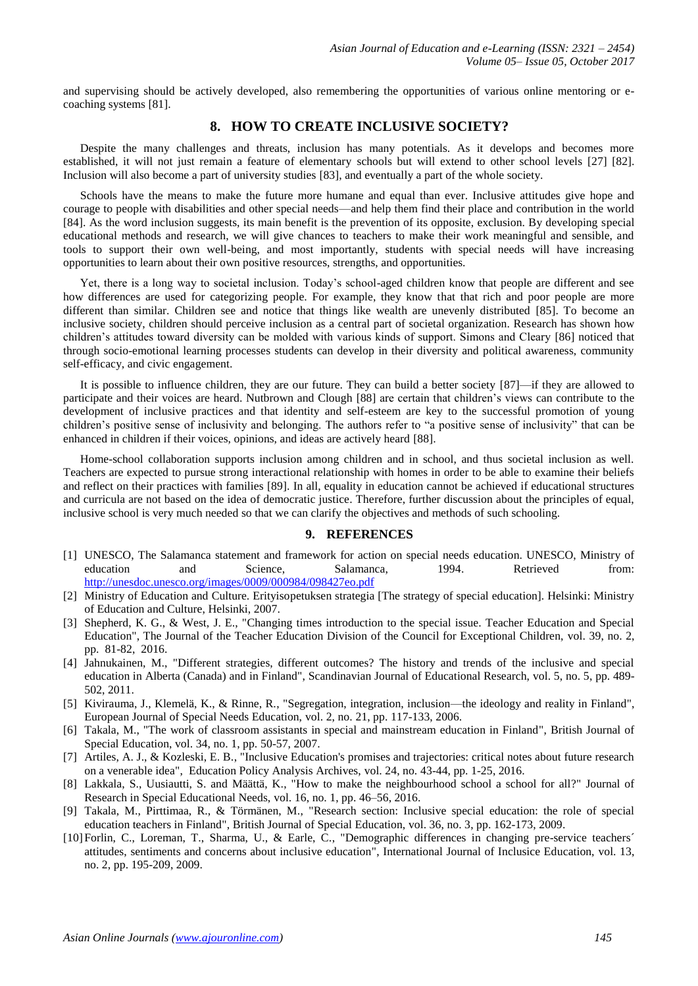and supervising should be actively developed, also remembering the opportunities of various online mentoring or ecoaching systems [81].

### **8. HOW TO CREATE INCLUSIVE SOCIETY?**

Despite the many challenges and threats, inclusion has many potentials. As it develops and becomes more established, it will not just remain a feature of elementary schools but will extend to other school levels [27] [82]. Inclusion will also become a part of university studies [83], and eventually a part of the whole society.

Schools have the means to make the future more humane and equal than ever. Inclusive attitudes give hope and courage to people with disabilities and other special needs—and help them find their place and contribution in the world [84]. As the word inclusion suggests, its main benefit is the prevention of its opposite, exclusion. By developing special educational methods and research, we will give chances to teachers to make their work meaningful and sensible, and tools to support their own well-being, and most importantly, students with special needs will have increasing opportunities to learn about their own positive resources, strengths, and opportunities.

Yet, there is a long way to societal inclusion. Today's school-aged children know that people are different and see how differences are used for categorizing people. For example, they know that that rich and poor people are more different than similar. Children see and notice that things like wealth are unevenly distributed [85]. To become an inclusive society, children should perceive inclusion as a central part of societal organization. Research has shown how children's attitudes toward diversity can be molded with various kinds of support. Simons and Cleary [86] noticed that through socio-emotional learning processes students can develop in their diversity and political awareness, community self-efficacy, and civic engagement.

It is possible to influence children, they are our future. They can build a better society [87]—if they are allowed to participate and their voices are heard. Nutbrown and Clough [88] are certain that children's views can contribute to the development of inclusive practices and that identity and self-esteem are key to the successful promotion of young children's positive sense of inclusivity and belonging. The authors refer to "a positive sense of inclusivity" that can be enhanced in children if their voices, opinions, and ideas are actively heard [88].

Home-school collaboration supports inclusion among children and in school, and thus societal inclusion as well. Teachers are expected to pursue strong interactional relationship with homes in order to be able to examine their beliefs and reflect on their practices with families [89]. In all, equality in education cannot be achieved if educational structures and curricula are not based on the idea of democratic justice. Therefore, further discussion about the principles of equal, inclusive school is very much needed so that we can clarify the objectives and methods of such schooling.

#### **9. REFERENCES**

- [1] UNESCO, The Salamanca statement and framework for action on special needs education. UNESCO, Ministry of education and Science, Salamanca, 1994. Retrieved from: <http://unesdoc.unesco.org/images/0009/000984/098427eo.pdf>
- [2] Ministry of Education and Culture. Erityisopetuksen strategia [The strategy of special education]. Helsinki: Ministry of Education and Culture, Helsinki, 2007.
- [3] Shepherd, K. G., & West, J. E., "Changing times introduction to the special issue. Teacher Education and Special Education", The Journal of the Teacher Education Division of the Council for Exceptional Children, vol. 39, no. 2, pp. 81-82, 2016.
- [4] Jahnukainen, M., "Different strategies, different outcomes? The history and trends of the inclusive and special education in Alberta (Canada) and in Finland", Scandinavian Journal of Educational Research, vol. 5, no. 5, pp. 489- 502, 2011.
- [5] Kivirauma, J., Klemelä, K., & Rinne, R., "Segregation, integration, inclusion—the ideology and reality in Finland", European Journal of Special Needs Education, vol. 2, no. 21, pp. 117-133, 2006.
- [6] Takala, M., "The work of classroom assistants in special and mainstream education in Finland", British Journal of Special Education, vol. 34, no. 1, pp. 50-57, 2007.
- [7] Artiles, A. J., & Kozleski, E. B., "Inclusive Education's promises and trajectories: critical notes about future research on a venerable idea", Education Policy Analysis Archives, vol. 24, no. 43-44, pp. 1-25, 2016.
- [8] Lakkala, S., Uusiautti, S. and Määttä, K., "How to make the neighbourhood school a school for all?" Journal of Research in Special Educational Needs, vol. 16, no. 1, pp. 46–56, 2016.
- [9] Takala, M., Pirttimaa, R., & Törmänen, M., "Research section: Inclusive special education: the role of special education teachers in Finland", British Journal of Special Education, vol. 36, no. 3, pp. 162-173, 2009.
- [10]Forlin, C., Loreman, T., Sharma, U., & Earle, C., "Demographic differences in changing pre-service teachers´ attitudes, sentiments and concerns about inclusive education", International Journal of Inclusice Education, vol. 13, no. 2, pp. 195-209, 2009.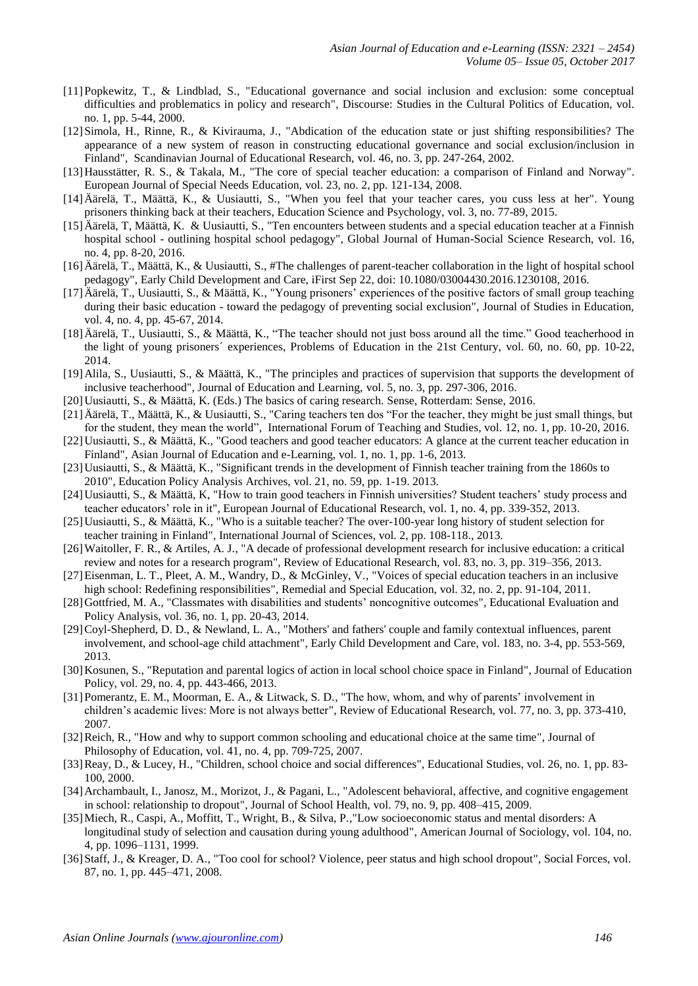- [11]Popkewitz, T., & Lindblad, S., "Educational governance and social inclusion and exclusion: some conceptual difficulties and problematics in policy and research", Discourse: Studies in the Cultural Politics of Education, vol. no. 1, pp. 5-44, 2000.
- [12] Simola, H., Rinne, R., & Kivirauma, J., "Abdication of the education state or just shifting responsibilities? The appearance of a new system of reason in constructing educational governance and social exclusion/inclusion in Finland", Scandinavian Journal of Educational Research, vol. 46, no. 3, pp. 247-264, 2002.
- [13]Hausstätter, R. S., & Takala, M., "The core of special teacher education: a comparison of Finland and Norway". European Journal of Special Needs Education, vol. 23, no. 2, pp. 121-134, 2008.
- [14]Äärelä, T., Määttä, K., & Uusiautti, S., "When you feel that your teacher cares, you cuss less at her". Young prisoners thinking back at their teachers, Education Science and Psychology, vol. 3, no. 77-89, 2015.
- [15]Äärelä, T, Määttä, K. & Uusiautti, S., "Ten encounters between students and a special education teacher at a Finnish hospital school - outlining hospital school pedagogy", Global Journal of Human-Social Science Research, vol. 16, no. 4, pp. 8-20, 2016.
- [16]Äärelä, T., Määttä, K., & Uusiautti, S., #The challenges of parent-teacher collaboration in the light of hospital school pedagogy", Early Child Development and Care, iFirst Sep 22, doi: 10.1080/03004430.2016.1230108, 2016.
- [17]Äärelä, T., Uusiautti, S., & Määttä, K., "Young prisoners' experiences of the positive factors of small group teaching during their basic education - toward the pedagogy of preventing social exclusion", Journal of Studies in Education, vol. 4, no. 4, pp. 45-67, 2014.
- [18]Äärelä, T., Uusiautti, S., & Määttä, K., "The teacher should not just boss around all the time." Good teacherhood in the light of young prisoners´ experiences, Problems of Education in the 21st Century, vol. 60, no. 60, pp. 10-22, 2014.
- [19]Alila, S., Uusiautti, S., & Määttä, K., "The principles and practices of supervision that supports the development of inclusive teacherhood", Journal of Education and Learning, vol. 5, no. 3, pp. 297-306, 2016.
- [20]Uusiautti, S., & Määttä, K. (Eds.) The basics of caring research. Sense, Rotterdam: Sense, 2016.
- [21]Äärelä, T., Määttä, K., & Uusiautti, S., "Caring teachers ten dos "For the teacher, they might be just small things, but for the student, they mean the world", International Forum of Teaching and Studies, vol. 12, no. 1, pp. 10-20, 2016.
- [22]Uusiautti, S., & Määttä, K., "Good teachers and good teacher educators: A glance at the current teacher education in Finland", Asian Journal of Education and e-Learning, vol. 1, no. 1, pp. 1-6, 2013.
- [23]Uusiautti, S., & Määttä, K., "Significant trends in the development of Finnish teacher training from the 1860s to 2010", Education Policy Analysis Archives, vol. 21, no. 59, pp. 1-19. 2013.
- [24]Uusiautti, S., & Määttä, K, "How to train good teachers in Finnish universities? Student teachers' study process and teacher educators' role in it", European Journal of Educational Research, vol. 1, no. 4, pp. 339-352, 2013.
- [25]Uusiautti, S., & Määttä, K., "Who is a suitable teacher? The over-100-year long history of student selection for teacher training in Finland", International Journal of Sciences, vol. 2, pp. 108-118., 2013.
- [26]Waitoller, F. R., & Artiles, A. J., "A decade of professional development research for inclusive education: a critical review and notes for a research program", Review of Educational Research, vol. 83, no. 3, pp. 319–356, 2013.
- [27]Eisenman, L. T., Pleet, A. M., Wandry, D., & McGinley, V., "Voices of special education teachers in an inclusive high school: Redefining responsibilities", Remedial and Special Education, vol. 32, no. 2, pp. 91-104, 2011.
- [28]Gottfried, M. A., "Classmates with disabilities and students' noncognitive outcomes", Educational Evaluation and Policy Analysis, vol. 36, no. 1, pp. 20-43, 2014.
- [29]Coyl-Shepherd, D. D., & Newland, L. A., "Mothers' and fathers' couple and family contextual influences, parent involvement, and school-age child attachment", Early Child Development and Care, vol. 183, no. 3-4, pp. 553-569, 2013.
- [30]Kosunen, S., "Reputation and parental logics of action in local school choice space in Finland", Journal of Education Policy, vol. 29, no. 4, pp. 443-466, 2013.
- [31]Pomerantz, E. M., Moorman, E. A., & Litwack, S. D., "The how, whom, and why of parents' involvement in children's academic lives: More is not always better", Review of Educational Research, vol. 77, no. 3, pp. 373-410, 2007.
- [32] Reich, R., "How and why to support common schooling and educational choice at the same time", Journal of Philosophy of Education, vol. 41, no. 4, pp. 709-725, 2007.
- [33]Reay, D., & Lucey, H., "Children, school choice and social differences", Educational Studies, vol. 26, no. 1, pp. 83- 100, 2000.
- [34] Archambault, I., Janosz, M., Morizot, J., & Pagani, L., "Adolescent behavioral, affective, and cognitive engagement in school: relationship to dropout", Journal of School Health, vol. 79, no. 9, pp. 408–415, 2009.
- [35]Miech, R., Caspi, A., Moffitt, T., Wright, B., & Silva, P.,"Low socioeconomic status and mental disorders: A longitudinal study of selection and causation during young adulthood", American Journal of Sociology, vol. 104, no. 4, pp. 1096–1131, 1999.
- [36] Staff, J., & Kreager, D. A., "Too cool for school? Violence, peer status and high school dropout", Social Forces, vol. 87, no. 1, pp. 445–471, 2008.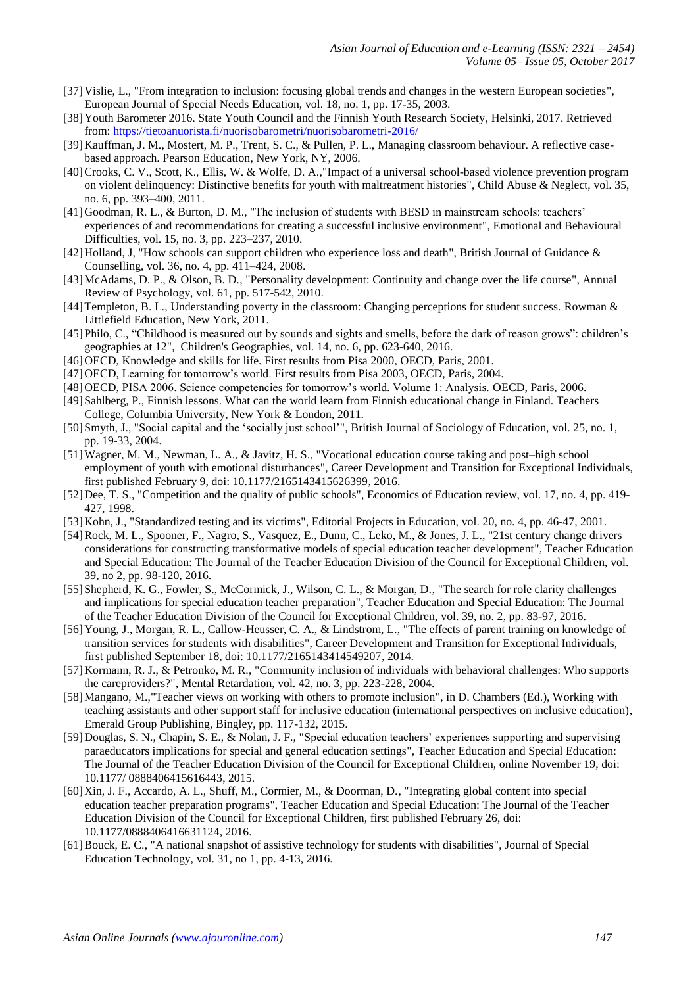- [37]Vislie, L., "From integration to inclusion: focusing global trends and changes in the western European societies", European Journal of Special Needs Education, vol. 18, no. 1, pp. 17-35, 2003.
- [38] Youth Barometer 2016. State Youth Council and the Finnish Youth Research Society, Helsinki, 2017. Retrieved from[: https://tietoanuorista.fi/nuorisobarometri/nuorisobarometri-2016/](https://tietoanuorista.fi/nuorisobarometri/nuorisobarometri-2016/)
- [39]Kauffman, J. M., Mostert, M. P., Trent, S. C., & Pullen, P. L., Managing classroom behaviour. A reflective casebased approach. Pearson Education, New York, NY, 2006.
- [40]Crooks, C. V., Scott, K., Ellis, W. & Wolfe, D. A.,"Impact of a universal school-based violence prevention program on violent delinquency: Distinctive benefits for youth with maltreatment histories", Child Abuse & Neglect, vol. 35, no. 6, pp. 393–400, 2011.
- [41]Goodman, R. L., & Burton, D. M., "The inclusion of students with BESD in mainstream schools: teachers' experiences of and recommendations for creating a successful inclusive environment", Emotional and Behavioural Difficulties, vol. 15, no. 3, pp. 223–237, 2010.
- [42] Holland, J, "How schools can support children who experience loss and death", British Journal of Guidance & Counselling, vol. 36, no. 4, pp. 411–424, 2008.
- [43]McAdams, D. P., & Olson, B. D., "Personality development: Continuity and change over the life course", Annual Review of Psychology, vol. 61, pp. 517-542, 2010.
- [44]Templeton, B. L., Understanding poverty in the classroom: Changing perceptions for student success. Rowman & Littlefield Education, New York, 2011.
- [45]Philo, C., "Childhood is measured out by sounds and sights and smells, before the dark of reason grows": children's geographies at 12", Children's Geographies, vol. 14, no. 6, pp. 623-640, 2016.
- [46]OECD, Knowledge and skills for life. First results from Pisa 2000, OECD, Paris, 2001.
- [47]OECD, Learning for tomorrow's world. First results from Pisa 2003, OECD, Paris, 2004.
- [48]OECD, PISA 2006. Science competencies for tomorrow's world. Volume 1: Analysis. OECD, Paris, 2006.
- [49]Sahlberg, P., Finnish lessons. What can the world learn from Finnish educational change in Finland. Teachers College, Columbia University, New York & London, 2011.
- [50]Smyth, J., "Social capital and the 'socially just school'", British Journal of Sociology of Education, vol. 25, no. 1, pp. 19-33, 2004.
- [51]Wagner, M. M., Newman, L. A., & Javitz, H. S., "Vocational education course taking and post–high school employment of youth with emotional disturbances", Career Development and Transition for Exceptional Individuals, first published February 9, doi: 10.1177/2165143415626399, 2016.
- [52] Dee, T. S., "Competition and the quality of public schools", Economics of Education review, vol. 17, no. 4, pp. 419-427, 1998.
- [53]Kohn, J., "Standardized testing and its victims", Editorial Projects in Education, vol. 20, no. 4, pp. 46-47, 2001.
- [54]Rock, M. L., Spooner, F., Nagro, S., Vasquez, E., Dunn, C., Leko, M., & Jones, J. L., "21st century change drivers considerations for constructing transformative models of special education teacher development", Teacher Education and Special Education: The Journal of the Teacher Education Division of the Council for Exceptional Children, vol. 39, no 2, pp. 98-120, 2016.
- [55] Shepherd, K. G., Fowler, S., McCormick, J., Wilson, C. L., & Morgan, D., "The search for role clarity challenges and implications for special education teacher preparation", Teacher Education and Special Education: The Journal of the Teacher Education Division of the Council for Exceptional Children, vol. 39, no. 2, pp. 83-97, 2016.
- [56]Young, J., Morgan, R. L., Callow-Heusser, C. A., & Lindstrom, L., "The effects of parent training on knowledge of transition services for students with disabilities", Career Development and Transition for Exceptional Individuals, first published September 18, doi: 10.1177/2165143414549207, 2014.
- [57]Kormann, R. J., & Petronko, M. R., "Community inclusion of individuals with behavioral challenges: Who supports the careproviders?", Mental Retardation, vol. 42, no. 3, pp. 223-228, 2004.
- [58]Mangano, M.,"Teacher views on working with others to promote inclusion", in D. Chambers (Ed.), Working with teaching assistants and other support staff for inclusive education (international perspectives on inclusive education), Emerald Group Publishing, Bingley, pp. 117-132, 2015.
- [59]Douglas, S. N., Chapin, S. E., & Nolan, J. F., "Special education teachers' experiences supporting and supervising paraeducators implications for special and general education settings", Teacher Education and Special Education: The Journal of the Teacher Education Division of the Council for Exceptional Children, online November 19, doi: 10.1177/ 0888406415616443, 2015.
- [60]Xin, J. F., Accardo, A. L., Shuff, M., Cormier, M., & Doorman, D., "Integrating global content into special education teacher preparation programs", Teacher Education and Special Education: The Journal of the Teacher Education Division of the Council for Exceptional Children, first published February 26, doi: 10.1177/0888406416631124, 2016.
- [61]Bouck, E. C., "A national snapshot of assistive technology for students with disabilities", Journal of Special Education Technology, vol. 31, no 1, pp. 4-13, 2016.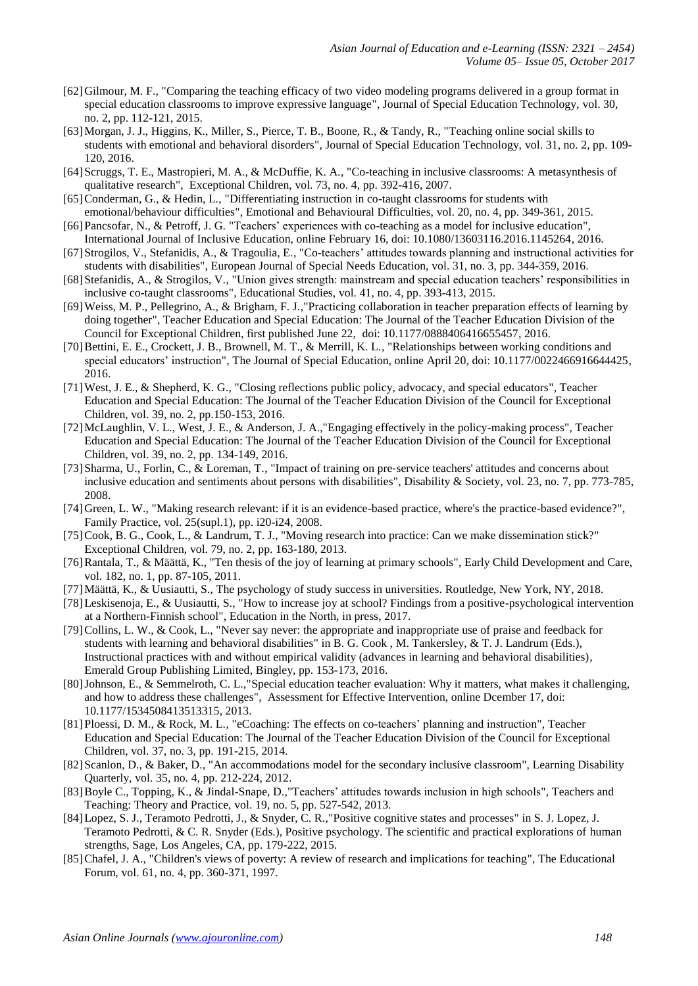- [62]Gilmour, M. F., "Comparing the teaching efficacy of two video modeling programs delivered in a group format in special education classrooms to improve expressive language", Journal of Special Education Technology, vol. 30, no. 2, pp. 112-121, 2015.
- [63]Morgan, J. J., Higgins, K., Miller, S., Pierce, T. B., Boone, R., & Tandy, R., "Teaching online social skills to students with emotional and behavioral disorders", Journal of Special Education Technology, vol. 31, no. 2, pp. 109- 120, 2016.
- [64]Scruggs, T. E., Mastropieri, M. A., & McDuffie, K. A., "Co-teaching in inclusive classrooms: A metasynthesis of qualitative research", Exceptional Children, vol. 73, no. 4, pp. 392-416, 2007.
- [65] Conderman, G., & Hedin, L., "Differentiating instruction in co-taught classrooms for students with emotional/behaviour difficulties", Emotional and Behavioural Difficulties, vol. 20, no. 4, pp. 349-361, 2015.
- [66]Pancsofar, N., & Petroff, J. G. "Teachers' experiences with co-teaching as a model for inclusive education", International Journal of Inclusive Education, online February 16, doi: 10.1080/13603116.2016.1145264, 2016.
- [67]Strogilos, V., Stefanidis, A., & Tragoulia, E., "Co-teachers' attitudes towards planning and instructional activities for students with disabilities", European Journal of Special Needs Education, vol. 31, no. 3, pp. 344-359, 2016.
- [68]Stefanidis, A., & Strogilos, V., "Union gives strength: mainstream and special education teachers' responsibilities in inclusive co-taught classrooms", Educational Studies, vol. 41, no. 4, pp. 393-413, 2015.
- [69]Weiss, M. P., Pellegrino, A., & Brigham, F. J.,"Practicing collaboration in teacher preparation effects of learning by doing together", Teacher Education and Special Education: The Journal of the Teacher Education Division of the Council for Exceptional Children, first published June 22, doi: 10.1177/0888406416655457, 2016.
- [70]Bettini, E. E., Crockett, J. B., Brownell, M. T., & Merrill, K. L., "Relationships between working conditions and special educators' instruction", The Journal of Special Education, online April 20, doi: 10.1177/0022466916644425, 2016.
- [71]West, J. E., & Shepherd, K. G., "Closing reflections public policy, advocacy, and special educators", Teacher Education and Special Education: The Journal of the Teacher Education Division of the Council for Exceptional Children, vol. 39, no. 2, pp.150-153, 2016.
- [72]McLaughlin, V. L., West, J. E., & Anderson, J. A.,"Engaging effectively in the policy-making process", Teacher Education and Special Education: The Journal of the Teacher Education Division of the Council for Exceptional Children, vol. 39, no. 2, pp. 134-149, 2016.
- [73] Sharma, U., Forlin, C., & Loreman, T., "Impact of training on pre-service teachers' attitudes and concerns about inclusive education and sentiments about persons with disabilities", Disability & Society, vol. 23, no. 7, pp. 773-785, 2008.
- [74]Green, L. W., "Making research relevant: if it is an evidence-based practice, where's the practice-based evidence?", Family Practice, vol. 25(supl.1), pp. i20-i24, 2008.
- [75] Cook, B. G., Cook, L., & Landrum, T. J., "Moving research into practice: Can we make dissemination stick?" Exceptional Children, vol. 79, no. 2, pp. 163-180, 2013.
- [76]Rantala, T., & Määttä, K., "Ten thesis of the joy of learning at primary schools", Early Child Development and Care, vol. 182, no. 1, pp. 87-105, 2011.
- [77]Määttä, K., & Uusiautti, S., The psychology of study success in universities. Routledge, New York, NY, 2018.
- [78]Leskisenoja, E., & Uusiautti, S., "How to increase joy at school? Findings from a positive-psychological intervention at a Northern-Finnish school", Education in the North, in press, 2017.
- [79] Collins, L. W., & Cook, L., "Never say never: the appropriate and inappropriate use of praise and feedback for students with learning and behavioral disabilities" in B. G. Cook , M. Tankersley, & T. J. Landrum (Eds.), Instructional practices with and without empirical validity (advances in learning and behavioral disabilities), Emerald Group Publishing Limited, Bingley, pp. 153-173, 2016.
- [80]Johnson, E., & Semmelroth, C. L.,"Special education teacher evaluation: Why it matters, what makes it challenging, and how to address these challenges", Assessment for Effective Intervention, online Dcember 17, doi: 10.1177/1534508413513315, 2013.
- [81]Ploessi, D. M., & Rock, M. L., "eCoaching: The effects on co-teachers' planning and instruction", Teacher Education and Special Education: The Journal of the Teacher Education Division of the Council for Exceptional Children, vol. 37, no. 3, pp. 191-215, 2014.
- [82] Scanlon, D., & Baker, D., "An accommodations model for the secondary inclusive classroom", Learning Disability Quarterly, vol. 35, no. 4, pp. 212-224, 2012.
- [83]Boyle C., Topping, K., & Jindal-Snape, D.,"Teachers' attitudes towards inclusion in high schools", Teachers and Teaching: Theory and Practice, vol. 19, no. 5, pp. 527-542, 2013.
- [84]Lopez, S. J., Teramoto Pedrotti, J., & Snyder, C. R.,"Positive cognitive states and processes" in S. J. Lopez, J. Teramoto Pedrotti, & C. R. Snyder (Eds.), Positive psychology. The scientific and practical explorations of human strengths, Sage, Los Angeles, CA, pp. 179-222, 2015.
- [85]Chafel, J. A., "Children's views of poverty: A review of research and implications for teaching", The Educational Forum, vol. 61, no. 4, pp. 360-371, 1997.